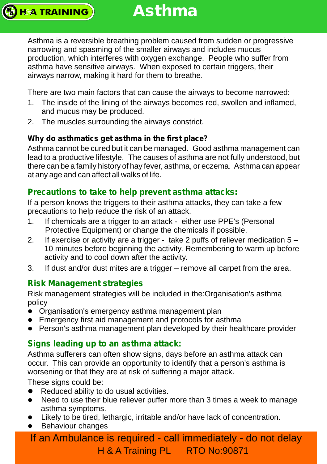Asthma is a reversible breathing problem caused from sudden or progressive narrowing and spasming of the smaller airways and includes mucus production, which interferes with oxygen exchange. People who suffer from asthma have sensitive airways. When exposed to certain triggers, their airways narrow, making it hard for them to breathe.

There are two main factors that can cause the airways to become narrowed:

- 1. The inside of the lining of the airways becomes red, swollen and inflamed, and mucus may be produced.
- 2. The muscles surrounding the airways constrict.

**H&A TRAINING** 

#### **Why do asthmatics get asthma in the first place?**

Asthma cannot be cured but it can be managed. Good asthma management can lead to a productive lifestyle. The causes of asthma are not fully understood, but there can be a family history of hay fever, asthma, or eczema. Asthma can appear at any age and can affect all walks of life.

#### **Precautions to take to help prevent asthma attacks:**

If a person knows the triggers to their asthma attacks, they can take a few precautions to help reduce the risk of an attack.

- 1. If chemicals are a trigger to an attack either use PPE's (Personal Protective Equipment) or change the chemicals if possible.
- 2. If exercise or activity are a trigger take 2 puffs of reliever medication  $5 -$ 10 minutes before beginning the activity. Remembering to warm up before activity and to cool down after the activity.
- 3. If dust and/or dust mites are a trigger remove all carpet from the area.

#### **Risk Management strategies**

Risk management strategies will be included in the:Organisation's asthma policy

- Organisation's emergency asthma management plan
- Emergency first aid management and protocols for asthma
- Person's asthma management plan developed by their healthcare provider

## **Signs leading up to an asthma attack:**

Asthma sufferers can often show signs, days before an asthma attack can occur. This can provide an opportunity to identify that a person's asthma is worsening or that they are at risk of suffering a major attack.

These signs could be:

- Reduced ability to do usual activities.
- Need to use their blue reliever puffer more than 3 times a week to manage asthma symptoms.
- Likely to be tired, lethargic, irritable and/or have lack of concentration.
- **•** Behaviour changes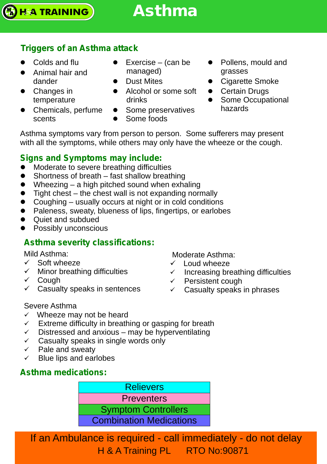## **Triggers of an Asthma attack**

• Colds and flu

**H&A TRAINING** 

- Animal hair and dander
- Changes in temperature
- Chemicals, perfume scents
- Exercise (can be managed)
- Dust Mites
- Alcohol or some soft drinks
- Some preservatives • Some foods
- Pollens, mould and grasses
- Cigarette Smoke
- Certain Drugs
- Some Occupational hazards

Asthma symptoms vary from person to person. Some sufferers may present with all the symptoms, while others may only have the wheeze or the cough.

#### **Signs and Symptoms may include:**

- Moderate to severe breathing difficulties
- Shortness of breath fast shallow breathing
- Wheezing a high pitched sound when exhaling
- Tight chest the chest wall is not expanding normally
- Coughing usually occurs at night or in cold conditions
- Paleness, sweaty, blueness of lips, fingertips, or earlobes
- Quiet and subdued
- Possibly unconscious

#### **Asthma severity classifications:**

Mild Asthma:

- $\checkmark$  Soft wheeze
- $\checkmark$  Minor breathing difficulties
- ✓ Cough
- $\checkmark$  Casualty speaks in sentences

Moderate Asthma:

- $\checkmark$  Loud wheeze
- $\checkmark$  Increasing breathing difficulties
- ü Persistent cough
- $\checkmark$  Casualty speaks in phrases

#### Severe Asthma

- $\checkmark$  Wheeze may not be heard
- $\checkmark$  Extreme difficulty in breathing or gasping for breath
- $\checkmark$  Distressed and anxious may be hyperventilating
- $\checkmark$  Casualty speaks in single words only
- $\checkmark$  Pale and sweaty
- $\checkmark$  Blue lips and earlobes

## **Asthma medications:**

**Relievers Preventers** Symptom Controllers Combination Medications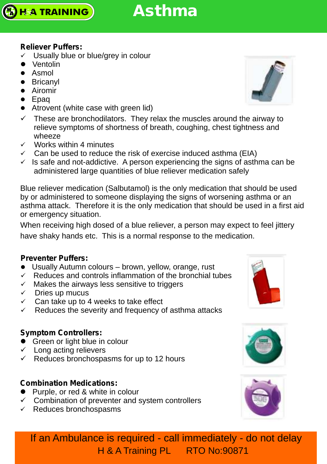

#### **Reliever Puffers:**

- $\checkmark$  Usually blue or blue/grey in colour
- Ventolin
- Asmol
- Bricanyl
- Airomir
- $\bullet$  Epag
- Epaq<br>● Atrovent (white case with green lid)
- $\checkmark$  These are bronchodilators. They relax the muscles around the airway to relieve symptoms of shortness of breath, coughing, chest tightness and wheeze
- $\checkmark$  Works within 4 minutes
- $\checkmark$   $\;$  Can be used to reduce the risk of exercise induced asthma (EIA)
- $\checkmark$  Is safe and not-addictive. A person experiencing the signs of asthma can be administered large quantities of blue reliever medication safely

Blue reliever medication (Salbutamol) is the only medication that should be used by or administered to someone displaying the signs of worsening asthma or an asthma attack. Therefore it is the only medication that should be used in a first aid or emergency situation.

When receiving high dosed of a blue reliever, a person may expect to feel jittery have shaky hands etc. This is a normal response to the medication.

#### **Preventer Puffers:**

- Usually Autumn colours brown, yellow, orange, rust
- $\bullet$  Usually Autumn colours brown, yellow, orange, rust<br> $\checkmark$  Reduces and controls inflammation of the bronchial tubes
- $\checkmark$  Makes the airways less sensitive to triggers
- $\checkmark$  Dries up mucus
- $\checkmark$  Can take up to 4 weeks to take effect
- $\checkmark$  Reduces the severity and frequency of asthma attacks

#### **Symptom Controllers:**

- **•** Green or light blue in colour
- $\checkmark$  Long acting relievers
- $\checkmark$  Reduces bronchospasms for up to 12 hours

#### **Combination Medications:**

- Purple, or red & white in colour
- $\checkmark$  Combination of preventer and system controllers
- $\checkmark$  Reduces bronchospasms







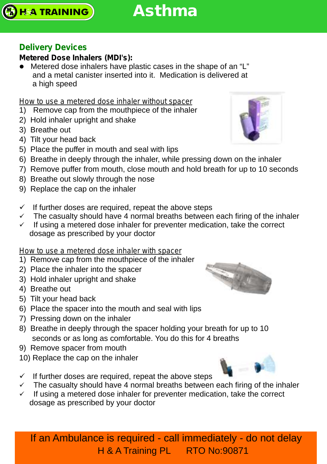## **Delivery Devices**

#### *Metered Dose Inhalers (MDI's):*

• Metered dose inhalers have plastic cases in the shape of an "L" and a metal canister inserted into it. Medication is delivered at a high speed

#### *How to use a metered dose inhaler without spacer*

- 1) Remove cap from the mouthpiece of the inhaler
- 2) Hold inhaler upright and shake
- 3) Breathe out
- 4) Tilt your head back
- 5) Place the puffer in mouth and seal with lips
- 6) Breathe in deeply through the inhaler, while pressing down on the inhaler
- 7) Remove puffer from mouth, close mouth and hold breath for up to 10 seconds
- 8) Breathe out slowly through the nose
- 9) Replace the cap on the inhaler
- $\checkmark$  If further doses are required, repeat the above steps
- $\checkmark$  The casualty should have 4 normal breaths between each firing of the inhaler
- $\checkmark$  If using a metered dose inhaler for preventer medication, take the correct dosage as prescribed by your doctor

#### *How to use a metered dose inhaler with spacer*

- 1) Remove cap from the mouthpiece of the inhaler
- 2) Place the inhaler into the spacer
- 3) Hold inhaler upright and shake
- 4) Breathe out
- 5) Tilt your head back
- 6) Place the spacer into the mouth and seal with lips
- 7) Pressing down on the inhaler
- 8) Breathe in deeply through the spacer holding your breath for up to 10 seconds or as long as comfortable. You do this for 4 breaths
- 9) Remove spacer from mouth
- 10) Replace the cap on the inhaler
- $\checkmark$  If further doses are required, repeat the above steps
- $\checkmark$  The casualty should have 4 normal breaths between each firing of the inhaler
- $\checkmark$  If using a metered dose inhaler for preventer medication, take the correct dosage as prescribed by your doctor





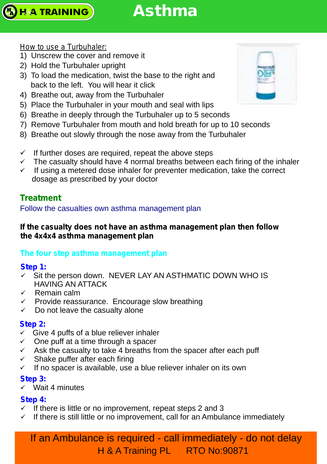#### *How to use a Turbuhaler:*

**H&A TRAINING** 

- 1) Unscrew the cover and remove it
- 2) Hold the Turbuhaler upright
- 3) To load the medication, twist the base to the right and back to the left. You will hear it click
- 4) Breathe out, away from the Turbuhaler
- 5) Place the Turbuhaler in your mouth and seal with lips
- 6) Breathe in deeply through the Turbuhaler up to 5 seconds
- 7) Remove Turbuhaler from mouth and hold breath for up to 10 seconds
- 8) Breathe out slowly through the nose away from the Turbuhaler
- $\checkmark$  If further doses are required, repeat the above steps
- $\checkmark$  The casualty should have 4 normal breaths between each firing of the inhaler
- $\checkmark$  If using a metered dose inhaler for preventer medication, take the correct dosage as prescribed by your doctor

## **Treatment**

Follow the casualties own asthma management plan

#### **If the casualty does not have an asthma management plan then follow the 4x4x4 asthma management plan**

#### **The four step asthma management plan**

#### **Step 1:**

- $\checkmark$  Sit the person down. NEVER LAY AN ASTHMATIC DOWN WHO IS HAVING AN ATTACK
- ü Remain calm
- $\checkmark$  Provide reassurance. Encourage slow breathing
- $\checkmark$  Do not leave the casualty alone

#### **Step 2:**

- $\checkmark$  Give 4 puffs of a blue reliever inhaler
- $\checkmark$  One puff at a time through a spacer
- $\checkmark$  Ask the casualty to take 4 breaths from the spacer after each puff
- $\checkmark$  Shake puffer after each firing
- $\checkmark$  If no spacer is available, use a blue reliever inhaler on its own

#### **Step 3:**

 $\checkmark$  Wait 4 minutes

#### **Step 4:**

- $\checkmark$  If there is little or no improvement, repeat steps 2 and 3
- $\checkmark$  If there is still little or no improvement, call for an Ambulance immediately